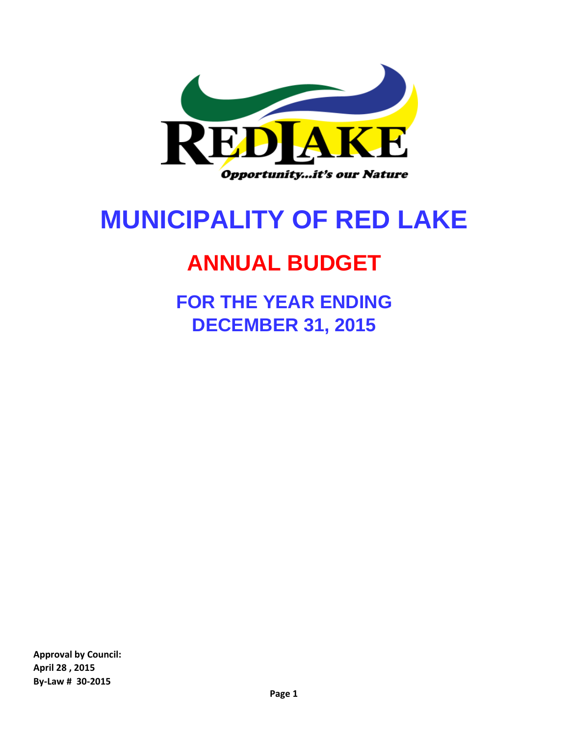

# **MUNICIPALITY OF RED LAKE**

## **ANNUAL BUDGET**

**FOR THE YEAR ENDING DECEMBER 31, 2015**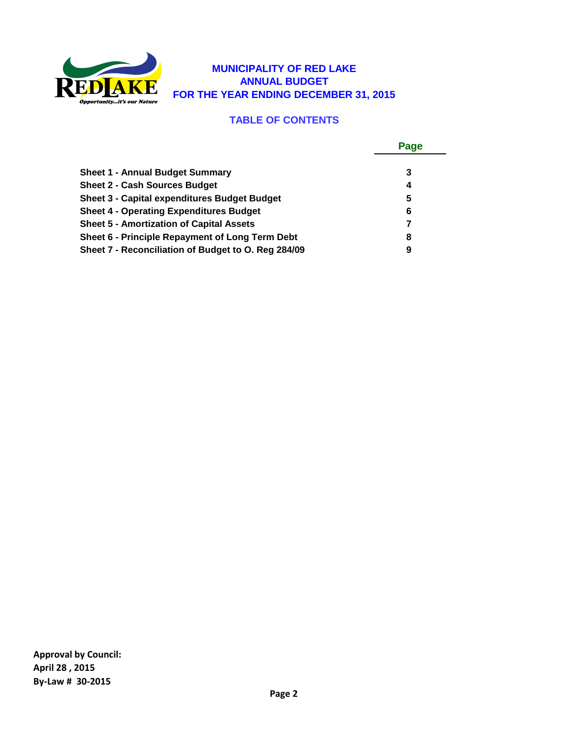

#### **MUNICIPALITY OF RED LAKE ANNUAL BUDGET FOR THE YEAR ENDING DECEMBER 31, 2015**

### **TABLE OF CONTENTS**

| Page |
|------|
|      |
| 3    |
| 4    |
| 5    |
| 6    |
| 7    |
| 8    |
| 9    |
|      |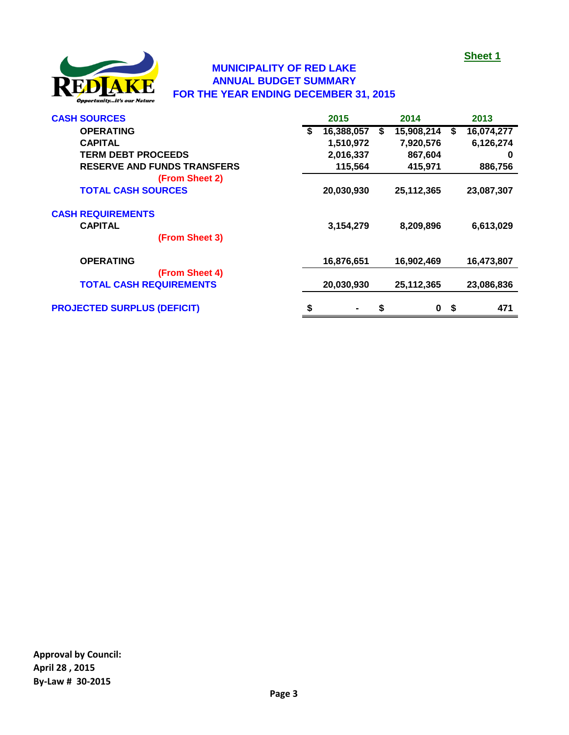

#### **MUNICIPALITY OF RED LAKE ANNUAL BUDGET SUMMARY FOR THE YEAR ENDING DECEMBER 31, 2015**

| <b>CASH SOURCES</b>                |    | 2015           |    | 2014       |    | 2013       |
|------------------------------------|----|----------------|----|------------|----|------------|
| <b>OPERATING</b>                   | S  | 16,388,057     | S  | 15,908,214 | S  | 16,074,277 |
| <b>CAPITAL</b>                     |    | 1,510,972      |    | 7,920,576  |    | 6,126,274  |
| <b>TERM DEBT PROCEEDS</b>          |    | 2,016,337      |    | 867,604    |    | 0          |
| <b>RESERVE AND FUNDS TRANSFERS</b> |    | 115,564        |    | 415,971    |    | 886,756    |
| (From Sheet 2)                     |    |                |    |            |    |            |
| <b>TOTAL CASH SOURCES</b>          |    | 20,030,930     |    | 25,112,365 |    | 23,087,307 |
| <b>CASH REQUIREMENTS</b>           |    |                |    |            |    |            |
| <b>CAPITAL</b>                     |    | 3,154,279      |    | 8,209,896  |    | 6,613,029  |
| (From Sheet 3)                     |    |                |    |            |    |            |
| <b>OPERATING</b>                   |    | 16,876,651     |    | 16,902,469 |    | 16,473,807 |
| (From Sheet 4)                     |    |                |    |            |    |            |
| <b>TOTAL CASH REQUIREMENTS</b>     |    | 20,030,930     |    | 25,112,365 |    | 23,086,836 |
| <b>PROJECTED SURPLUS (DEFICIT)</b> | \$ | $\blacksquare$ | \$ | $\bf{0}$   | \$ | 471        |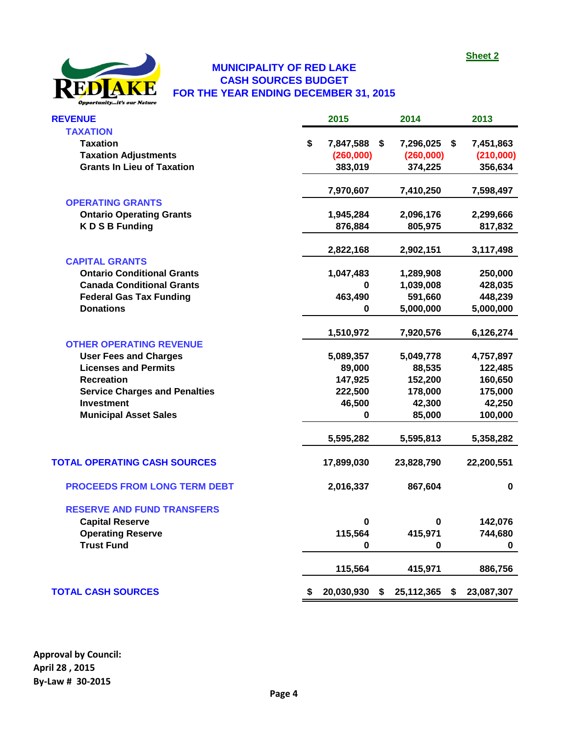

#### **MUNICIPALITY OF RED LAKE CASH SOURCES BUDGET FOR THE YEAR ENDING DECEMBER 31, 2015**

| <b>REVENUE</b>                       | 2015             | 2014             | 2013             |
|--------------------------------------|------------------|------------------|------------------|
| <b>TAXATION</b>                      |                  |                  |                  |
| <b>Taxation</b>                      | \$<br>7,847,588  | \$<br>7,296,025  | \$<br>7,451,863  |
| <b>Taxation Adjustments</b>          | (260,000)        | (260,000)        | (210,000)        |
| <b>Grants In Lieu of Taxation</b>    | 383,019          | 374,225          | 356,634          |
|                                      | 7,970,607        | 7,410,250        | 7,598,497        |
| <b>OPERATING GRANTS</b>              |                  |                  |                  |
| <b>Ontario Operating Grants</b>      | 1,945,284        | 2,096,176        | 2,299,666        |
| <b>KDSB Funding</b>                  | 876,884          | 805,975          | 817,832          |
|                                      | 2,822,168        | 2,902,151        | 3,117,498        |
| <b>CAPITAL GRANTS</b>                |                  |                  |                  |
| <b>Ontario Conditional Grants</b>    | 1,047,483        | 1,289,908        | 250,000          |
| <b>Canada Conditional Grants</b>     | 0                | 1,039,008        | 428,035          |
| <b>Federal Gas Tax Funding</b>       | 463,490          | 591,660          | 448,239          |
| <b>Donations</b>                     | 0                | 5,000,000        | 5,000,000        |
|                                      | 1,510,972        | 7,920,576        | 6,126,274        |
| <b>OTHER OPERATING REVENUE</b>       |                  |                  |                  |
| <b>User Fees and Charges</b>         | 5,089,357        | 5,049,778        | 4,757,897        |
| <b>Licenses and Permits</b>          | 89,000           | 88,535           | 122,485          |
| <b>Recreation</b>                    | 147,925          | 152,200          | 160,650          |
| <b>Service Charges and Penalties</b> | 222,500          | 178,000          | 175,000          |
| <b>Investment</b>                    | 46,500           | 42,300           | 42,250           |
| <b>Municipal Asset Sales</b>         | 0                | 85,000           | 100,000          |
|                                      | 5,595,282        | 5,595,813        | 5,358,282        |
| <b>TOTAL OPERATING CASH SOURCES</b>  | 17,899,030       | 23,828,790       | 22,200,551       |
| <b>PROCEEDS FROM LONG TERM DEBT</b>  | 2,016,337        | 867,604          | $\pmb{0}$        |
| <b>RESERVE AND FUND TRANSFERS</b>    |                  |                  |                  |
| <b>Capital Reserve</b>               | $\bf{0}$         | 0                | 142,076          |
| <b>Operating Reserve</b>             | 115,564          | 415,971          | 744,680          |
| <b>Trust Fund</b>                    | 0                | 0                | 0                |
|                                      | 115,564          | 415,971          | 886,756          |
| <b>TOTAL CASH SOURCES</b>            | \$<br>20,030,930 | \$<br>25,112,365 | \$<br>23,087,307 |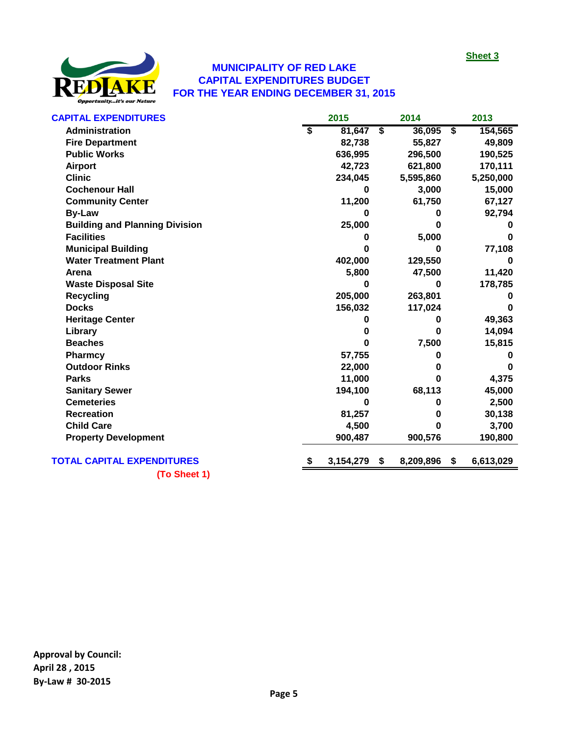

#### **MUNICIPALITY OF RED LAKE CAPITAL EXPENDITURES BUDGET FOR THE YEAR ENDING DECEMBER 31, 2015**

| <b>CAPITAL EXPENDITURES</b>           | 2015         | 2014            |    | 2013      |
|---------------------------------------|--------------|-----------------|----|-----------|
| <b>Administration</b>                 | \$<br>81,647 | \$<br>36,095    | S) | 154,565   |
| <b>Fire Department</b>                | 82,738       | 55,827          |    | 49,809    |
| <b>Public Works</b>                   | 636,995      | 296,500         |    | 190,525   |
| <b>Airport</b>                        | 42,723       | 621,800         |    | 170,111   |
| <b>Clinic</b>                         | 234,045      | 5,595,860       |    | 5,250,000 |
| <b>Cochenour Hall</b>                 | Ω            | 3,000           |    | 15,000    |
| <b>Community Center</b>               | 11,200       | 61,750          |    | 67,127    |
| <b>By-Law</b>                         | n            |                 |    | 92,794    |
| <b>Building and Planning Division</b> | 25,000       |                 |    |           |
| <b>Facilities</b>                     | 0            | 5,000           |    | 0         |
| <b>Municipal Building</b>             | n            | ŋ               |    | 77,108    |
| <b>Water Treatment Plant</b>          | 402,000      | 129,550         |    | 0         |
| Arena                                 | 5,800        | 47,500          |    | 11,420    |
| <b>Waste Disposal Site</b>            | 0            | 0               |    | 178,785   |
| <b>Recycling</b>                      | 205,000      | 263,801         |    |           |
| <b>Docks</b>                          | 156,032      | 117,024         |    | 0         |
| <b>Heritage Center</b>                |              |                 |    | 49,363    |
| Library                               | n            | O               |    | 14,094    |
| <b>Beaches</b>                        | Ω            | 7,500           |    | 15,815    |
| <b>Pharmcy</b>                        | 57,755       | O               |    | 0         |
| <b>Outdoor Rinks</b>                  | 22,000       | O               |    |           |
| <b>Parks</b>                          | 11,000       | O               |    | 4,375     |
| <b>Sanitary Sewer</b>                 | 194,100      | 68,113          |    | 45,000    |
| <b>Cemeteries</b>                     | 0            | 0               |    | 2,500     |
| <b>Recreation</b>                     | 81,257       | 0               |    | 30,138    |
| <b>Child Care</b>                     | 4,500        | Λ               |    | 3,700     |
| <b>Property Development</b>           | 900,487      | 900,576         |    | 190,800   |
| <b>TOTAL CAPITAL EXPENDITURES</b>     | 3,154,279    | \$<br>8,209,896 | S. | 6,613,029 |
| $(T_0$ Shoot 1)                       |              |                 |    |           |

**(To Sheet 1)**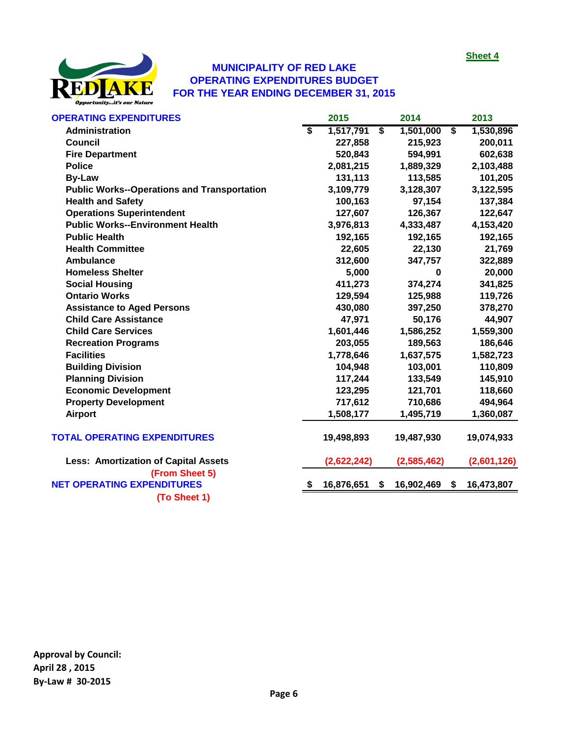

#### **MUNICIPALITY OF RED LAKE OPERATING EXPENDITURES BUDGET FOR THE YEAR ENDING DECEMBER 31, 2015**

| <b>OPERATING EXPENDITURES</b>                       |    | 2015        | 2014                                       | 2013        |
|-----------------------------------------------------|----|-------------|--------------------------------------------|-------------|
| <b>Administration</b>                               | \$ | 1,517,791   | $\overline{\mathbf{s}}$<br>1,501,000<br>\$ | 1,530,896   |
| <b>Council</b>                                      |    | 227,858     | 215,923                                    | 200,011     |
| <b>Fire Department</b>                              |    | 520,843     | 594,991                                    | 602,638     |
| <b>Police</b>                                       |    | 2,081,215   | 1,889,329                                  | 2,103,488   |
| <b>By-Law</b>                                       |    | 131,113     | 113,585                                    | 101,205     |
| <b>Public Works--Operations and Transportation</b>  |    | 3,109,779   | 3,128,307                                  | 3,122,595   |
| <b>Health and Safety</b>                            |    | 100,163     | 97,154                                     | 137,384     |
| <b>Operations Superintendent</b>                    |    | 127,607     | 126,367                                    | 122,647     |
| <b>Public Works--Environment Health</b>             |    | 3,976,813   | 4,333,487                                  | 4,153,420   |
| <b>Public Health</b>                                |    | 192,165     | 192,165                                    | 192,165     |
| <b>Health Committee</b>                             |    | 22,605      | 22,130                                     | 21,769      |
| <b>Ambulance</b>                                    |    | 312,600     | 347,757                                    | 322,889     |
| <b>Homeless Shelter</b>                             |    | 5,000       | $\bf{0}$                                   | 20,000      |
| <b>Social Housing</b>                               |    | 411,273     | 374,274                                    | 341,825     |
| <b>Ontario Works</b>                                |    | 129,594     | 125,988                                    | 119,726     |
| <b>Assistance to Aged Persons</b>                   |    | 430,080     | 397,250                                    | 378,270     |
| <b>Child Care Assistance</b>                        |    | 47,971      | 50,176                                     | 44,907      |
| <b>Child Care Services</b>                          |    | 1,601,446   | 1,586,252                                  | 1,559,300   |
| <b>Recreation Programs</b>                          |    | 203,055     | 189,563                                    | 186,646     |
| <b>Facilities</b>                                   |    | 1,778,646   | 1,637,575                                  | 1,582,723   |
| <b>Building Division</b>                            |    | 104,948     | 103,001                                    | 110,809     |
| <b>Planning Division</b>                            |    | 117,244     | 133,549                                    | 145,910     |
| <b>Economic Development</b>                         |    | 123,295     | 121,701                                    | 118,660     |
| <b>Property Development</b>                         |    | 717,612     | 710,686                                    | 494,964     |
| <b>Airport</b>                                      |    | 1,508,177   | 1,495,719                                  | 1,360,087   |
| <b>TOTAL OPERATING EXPENDITURES</b>                 |    | 19,498,893  | 19,487,930                                 | 19,074,933  |
| <b>Less: Amortization of Capital Assets</b>         |    | (2,622,242) | (2,585,462)                                | (2,601,126) |
| (From Sheet 5)<br><b>NET OPERATING EXPENDITURES</b> | 5  | 16,876,651  | 16,902,469<br>\$<br>\$                     | 16,473,807  |
|                                                     |    |             |                                            |             |
| (To Sheet 1)                                        |    |             |                                            |             |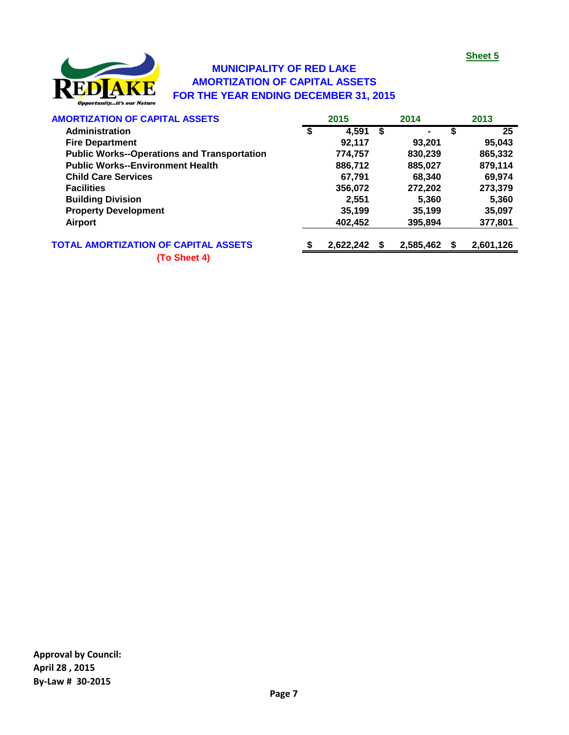

#### **MUNICIPALITY OF RED LAKE AMORTIZATION OF CAPITAL ASSETS FOR THE YEAR ENDING DECEMBER 31, 2015**

| <b>AMORTIZATION OF CAPITAL ASSETS</b>              |   | 2015      | 2014                 |   | 2013      |
|----------------------------------------------------|---|-----------|----------------------|---|-----------|
| <b>Administration</b>                              | S | 4,591     | \$<br>$\blacksquare$ | S | 25        |
| <b>Fire Department</b>                             |   | 92,117    | 93,201               |   | 95,043    |
| <b>Public Works--Operations and Transportation</b> |   | 774,757   | 830,239              |   | 865,332   |
| <b>Public Works--Environment Health</b>            |   | 886,712   | 885,027              |   | 879,114   |
| <b>Child Care Services</b>                         |   | 67.791    | 68,340               |   | 69,974    |
| <b>Facilities</b>                                  |   | 356,072   | 272,202              |   | 273,379   |
| <b>Building Division</b>                           |   | 2,551     | 5,360                |   | 5,360     |
| <b>Property Development</b>                        |   | 35,199    | 35,199               |   | 35,097    |
| <b>Airport</b>                                     |   | 402,452   | 395,894              |   | 377,801   |
| <b>TOTAL AMORTIZATION OF CAPITAL ASSETS</b>        |   | 2,622,242 | 2,585,462            | S | 2,601,126 |

**(To Sheet 4)**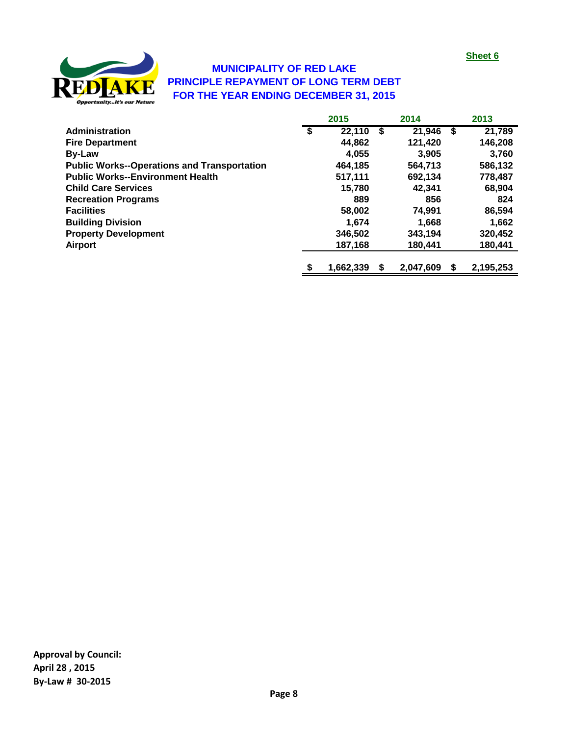

#### **MUNICIPALITY OF RED LAKE PRINCIPLE REPAYMENT OF LONG TERM DEBT FOR THE YEAR ENDING DECEMBER 31, 2015**

|                                                    | 2015            |    | 2014      |   | 2013      |
|----------------------------------------------------|-----------------|----|-----------|---|-----------|
| Administration                                     | \$<br>22,110    | \$ | 21,946    | S | 21,789    |
| <b>Fire Department</b>                             | 44,862          |    | 121,420   |   | 146,208   |
| <b>By-Law</b>                                      | 4,055           |    | 3.905     |   | 3,760     |
| <b>Public Works--Operations and Transportation</b> | 464.185         |    | 564.713   |   | 586,132   |
| <b>Public Works--Environment Health</b>            | 517,111         |    | 692,134   |   | 778,487   |
| <b>Child Care Services</b>                         | 15,780          |    | 42.341    |   | 68,904    |
| <b>Recreation Programs</b>                         | 889             |    | 856       |   | 824       |
| <b>Facilities</b>                                  | 58,002          |    | 74,991    |   | 86,594    |
| <b>Building Division</b>                           | 1.674           |    | 1,668     |   | 1,662     |
| <b>Property Development</b>                        | 346,502         |    | 343,194   |   | 320,452   |
| <b>Airport</b>                                     | 187,168         |    | 180,441   |   | 180,441   |
|                                                    | \$<br>1,662,339 | S  | 2,047,609 | S | 2,195,253 |